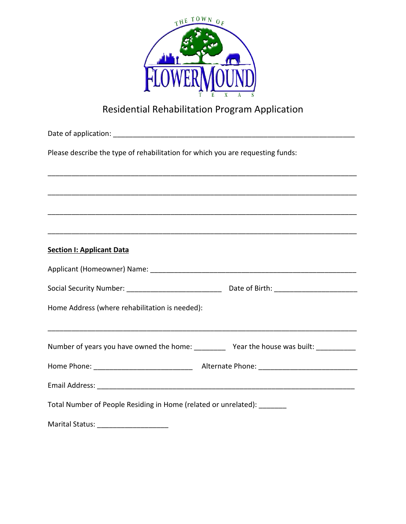

# Residential Rehabilitation Program Application

| Please describe the type of rehabilitation for which you are requesting funds: |  |  |
|--------------------------------------------------------------------------------|--|--|
|                                                                                |  |  |
|                                                                                |  |  |
|                                                                                |  |  |
|                                                                                |  |  |
| <b>Section I: Applicant Data</b>                                               |  |  |
|                                                                                |  |  |
|                                                                                |  |  |
| Home Address (where rehabilitation is needed):                                 |  |  |
| Number of years you have owned the home: Year the house was built:             |  |  |
|                                                                                |  |  |
|                                                                                |  |  |
| Total Number of People Residing in Home (related or unrelated):                |  |  |
|                                                                                |  |  |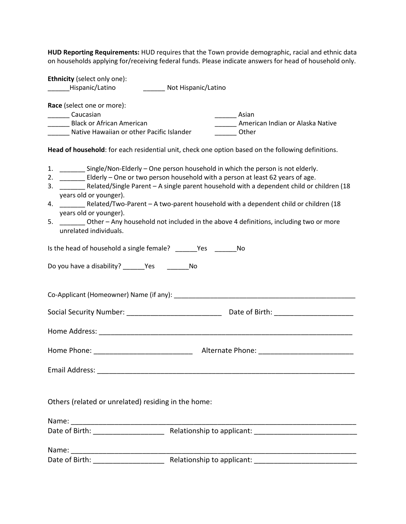**HUD Reporting Requirements:** HUD requires that the Town provide demographic, racial and ethnic data on households applying for/receiving federal funds. Please indicate answers for head of household only.

**Ethnicity** (select only one): \_\_\_\_\_\_Hispanic/Latino \_\_\_\_\_\_ Not Hispanic/Latino **Race** (select one or more): **Example 2** Caucasian **Example 2** Caucasian **Asian** \_\_\_\_\_\_ Black or African American \_\_\_\_\_\_ American Indian or Alaska Native Native Hawaiian or other Pacific Islander **National Communisty** Other **Head of household**: for each residential unit, check one option based on the following definitions. 1. \_\_\_\_\_\_\_ Single/Non-Elderly – One person household in which the person is not elderly. 2. \_\_\_\_\_\_\_ Elderly – One or two person household with a person at least 62 years of age. 3. \_\_\_\_\_\_\_ Related/Single Parent – A single parent household with a dependent child or children (18 years old or younger). 4. \_\_\_\_\_\_\_ Related/Two-Parent – A two-parent household with a dependent child or children (18 years old or younger). 5. \_\_\_\_\_\_\_ Other – Any household not included in the above 4 definitions, including two or more unrelated individuals. Is the head of household a single female? The Yes The No Do you have a disability? The Yes The No Co-Applicant (Homeowner) Name (if any): Social Security Number: \_\_\_\_\_\_\_\_\_\_\_\_\_\_\_\_\_\_\_\_\_\_\_\_ Date of Birth: \_\_\_\_\_\_\_\_\_\_\_\_\_\_\_\_\_\_\_\_ Home Address: \_\_\_\_\_\_\_\_\_\_\_\_\_\_\_\_\_\_\_\_\_\_\_\_\_\_\_\_\_\_\_\_\_\_\_\_\_\_\_\_\_\_\_\_\_\_\_\_\_\_\_\_\_\_\_\_\_\_\_\_\_\_\_\_ Home Phone: \_\_\_\_\_\_\_\_\_\_\_\_\_\_\_\_\_\_\_\_\_\_\_\_\_ Alternate Phone: \_\_\_\_\_\_\_\_\_\_\_\_\_\_\_\_\_\_\_\_\_\_\_\_ Email Address: \_\_\_\_\_\_\_\_\_\_\_\_\_\_\_\_\_\_\_\_\_\_\_\_\_\_\_\_\_\_\_\_\_\_\_\_\_\_\_\_\_\_\_\_\_\_\_\_\_\_\_\_\_\_\_\_\_\_\_\_\_\_\_\_\_ Others (related or unrelated) residing in the home: Name: \_\_\_\_\_\_\_\_\_\_\_\_\_\_\_\_\_\_\_\_\_\_\_\_\_\_\_\_\_\_\_\_\_\_\_\_\_\_\_\_\_\_\_\_\_\_\_\_\_\_\_\_\_\_\_\_\_\_\_\_\_\_\_\_\_\_\_\_\_\_\_\_ Date of Birth: \_\_\_\_\_\_\_\_\_\_\_\_\_\_\_\_\_\_ Relationship to applicant: \_\_\_\_\_\_\_\_\_\_\_\_\_\_\_\_\_\_\_\_\_\_\_\_\_\_

| Name:          |                            |  |
|----------------|----------------------------|--|
| Date of Birth: | Relationship to applicant: |  |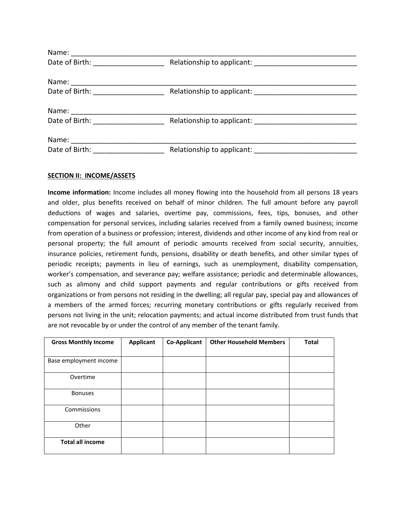| Date of Birth: The Case of Birth:<br>Relationship to applicant: Note that the set of the set of the set of the set of the set of the set of the set o |
|-------------------------------------------------------------------------------------------------------------------------------------------------------|
|                                                                                                                                                       |

#### **SECTION II: INCOME/ASSETS**

**Income information:** Income includes all money flowing into the household from all persons 18 years and older, plus benefits received on behalf of minor children. The full amount before any payroll deductions of wages and salaries, overtime pay, commissions, fees, tips, bonuses, and other compensation for personal services, including salaries received from a family owned business; income from operation of a business or profession; interest, dividends and other income of any kind from real or personal property; the full amount of periodic amounts received from social security, annuities, insurance policies, retirement funds, pensions, disability or death benefits, and other similar types of periodic receipts; payments in lieu of earnings, such as unemployment, disability compensation, worker's compensation, and severance pay; welfare assistance; periodic and determinable allowances, such as alimony and child support payments and regular contributions or gifts received from organizations or from persons not residing in the dwelling; all regular pay, special pay and allowances of a members of the armed forces; recurring monetary contributions or gifts regularly received from persons not living in the unit; relocation payments; and actual income distributed from trust funds that are not revocable by or under the control of any member of the tenant family.

| <b>Gross Monthly Income</b> | <b>Applicant</b> | <b>Co-Applicant</b> | <b>Other Household Members</b> | <b>Total</b> |
|-----------------------------|------------------|---------------------|--------------------------------|--------------|
|                             |                  |                     |                                |              |
| Base employment income      |                  |                     |                                |              |
| Overtime                    |                  |                     |                                |              |
| <b>Bonuses</b>              |                  |                     |                                |              |
| Commissions                 |                  |                     |                                |              |
| Other                       |                  |                     |                                |              |
| <b>Total all income</b>     |                  |                     |                                |              |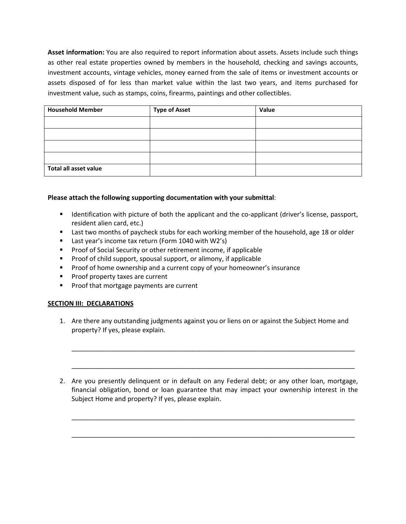**Asset information:** You are also required to report information about assets. Assets include such things as other real estate properties owned by members in the household, checking and savings accounts, investment accounts, vintage vehicles, money earned from the sale of items or investment accounts or assets disposed of for less than market value within the last two years, and items purchased for investment value, such as stamps, coins, firearms, paintings and other collectibles.

| <b>Household Member</b> | <b>Type of Asset</b> | Value |
|-------------------------|----------------------|-------|
|                         |                      |       |
|                         |                      |       |
|                         |                      |       |
|                         |                      |       |
| Total all asset value   |                      |       |

# **Please attach the following supporting documentation with your submittal**:

- **IDENTIFY IDENTIFY IS A UPS 10 A 20 IDENTIFY IS CONTIFY A 20 IDENTIFY A 20 IDENTIFY A 20 IDENTIFY IICENSE, passport,** resident alien card, etc.)
- **EXEC** Last two months of paycheck stubs for each working member of the household, age 18 or older
- **Last year's income tax return (Form 1040 with W2's)**
- **Proof of Social Security or other retirement income, if applicable**
- **Proof of child support, spousal support, or alimony, if applicable**
- **Proof of home ownership and a current copy of your homeowner's insurance**
- **Proof property taxes are current**
- **Proof that mortgage payments are current**

# **SECTION III: DECLARATIONS**

1. Are there any outstanding judgments against you or liens on or against the Subject Home and property? If yes, please explain.

2. Are you presently delinquent or in default on any Federal debt; or any other loan, mortgage, financial obligation, bond or loan guarantee that may impact your ownership interest in the Subject Home and property? If yes, please explain.

\_\_\_\_\_\_\_\_\_\_\_\_\_\_\_\_\_\_\_\_\_\_\_\_\_\_\_\_\_\_\_\_\_\_\_\_\_\_\_\_\_\_\_\_\_\_\_\_\_\_\_\_\_\_\_\_\_\_\_\_\_\_\_\_\_\_\_\_\_\_\_\_\_\_\_\_\_\_

\_\_\_\_\_\_\_\_\_\_\_\_\_\_\_\_\_\_\_\_\_\_\_\_\_\_\_\_\_\_\_\_\_\_\_\_\_\_\_\_\_\_\_\_\_\_\_\_\_\_\_\_\_\_\_\_\_\_\_\_\_\_\_\_\_\_\_\_\_\_\_\_\_\_\_\_\_\_

\_\_\_\_\_\_\_\_\_\_\_\_\_\_\_\_\_\_\_\_\_\_\_\_\_\_\_\_\_\_\_\_\_\_\_\_\_\_\_\_\_\_\_\_\_\_\_\_\_\_\_\_\_\_\_\_\_\_\_\_\_\_\_\_\_\_\_\_\_\_\_\_\_\_\_\_\_\_

\_\_\_\_\_\_\_\_\_\_\_\_\_\_\_\_\_\_\_\_\_\_\_\_\_\_\_\_\_\_\_\_\_\_\_\_\_\_\_\_\_\_\_\_\_\_\_\_\_\_\_\_\_\_\_\_\_\_\_\_\_\_\_\_\_\_\_\_\_\_\_\_\_\_\_\_\_\_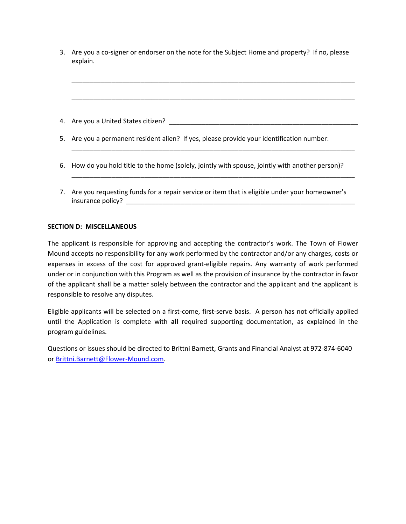| 3. Are you a co-signer or endorser on the note for the Subject Home and property? If no, please |  |
|-------------------------------------------------------------------------------------------------|--|
| explain.                                                                                        |  |

\_\_\_\_\_\_\_\_\_\_\_\_\_\_\_\_\_\_\_\_\_\_\_\_\_\_\_\_\_\_\_\_\_\_\_\_\_\_\_\_\_\_\_\_\_\_\_\_\_\_\_\_\_\_\_\_\_\_\_\_\_\_\_\_\_\_\_\_\_\_\_\_\_\_\_\_\_\_

\_\_\_\_\_\_\_\_\_\_\_\_\_\_\_\_\_\_\_\_\_\_\_\_\_\_\_\_\_\_\_\_\_\_\_\_\_\_\_\_\_\_\_\_\_\_\_\_\_\_\_\_\_\_\_\_\_\_\_\_\_\_\_\_\_\_\_\_\_\_\_\_\_\_\_\_\_\_

\_\_\_\_\_\_\_\_\_\_\_\_\_\_\_\_\_\_\_\_\_\_\_\_\_\_\_\_\_\_\_\_\_\_\_\_\_\_\_\_\_\_\_\_\_\_\_\_\_\_\_\_\_\_\_\_\_\_\_\_\_\_\_\_\_\_\_\_\_\_\_\_\_\_\_\_\_\_

\_\_\_\_\_\_\_\_\_\_\_\_\_\_\_\_\_\_\_\_\_\_\_\_\_\_\_\_\_\_\_\_\_\_\_\_\_\_\_\_\_\_\_\_\_\_\_\_\_\_\_\_\_\_\_\_\_\_\_\_\_\_\_\_\_\_\_\_\_\_\_\_\_\_\_\_\_\_

4. Are you a United States citizen? \_\_\_\_\_\_\_\_\_\_\_\_\_\_\_\_\_\_\_\_\_\_\_\_\_\_\_\_\_\_\_\_\_\_\_\_\_\_\_\_\_\_\_\_\_\_\_\_\_\_\_\_

5. Are you a permanent resident alien? If yes, please provide your identification number:

- 6. How do you hold title to the home (solely, jointly with spouse, jointly with another person)?
- 7. Are you requesting funds for a repair service or item that is eligible under your homeowner's insurance policy?

### **SECTION D: MISCELLANEOUS**

The applicant is responsible for approving and accepting the contractor's work. The Town of Flower Mound accepts no responsibility for any work performed by the contractor and/or any charges, costs or expenses in excess of the cost for approved grant-eligible repairs. Any warranty of work performed under or in conjunction with this Program as well as the provision of insurance by the contractor in favor of the applicant shall be a matter solely between the contractor and the applicant and the applicant is responsible to resolve any disputes.

Eligible applicants will be selected on a first-come, first-serve basis. A person has not officially applied until the Application is complete with **all** required supporting documentation, as explained in the program guidelines.

Questions or issues should be directed to Brittni Barnett, Grants and Financial Analyst at 972-874-6040 or [Brittni.Barnett@Flower-Mound.com.](mailto:Brittni.Barnett@Flower-Mound.com)